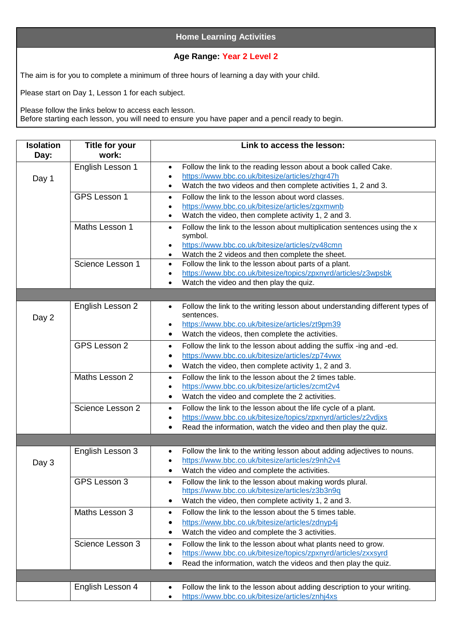## **Home Learning Activities**

## **Age Range: Year 2 Level 2**

The aim is for you to complete a minimum of three hours of learning a day with your child.

Please start on Day 1, Lesson 1 for each subject.

Please follow the links below to access each lesson. Before starting each lesson, you will need to ensure you have paper and a pencil ready to begin.

| <b>Isolation</b><br>Day: | <b>Title for your</b><br>work: | Link to access the lesson:                                                                                                                                                                                                               |
|--------------------------|--------------------------------|------------------------------------------------------------------------------------------------------------------------------------------------------------------------------------------------------------------------------------------|
| Day 1                    | English Lesson 1               | Follow the link to the reading lesson about a book called Cake.<br>$\bullet$<br>https://www.bbc.co.uk/bitesize/articles/zhqr47h<br>$\bullet$<br>Watch the two videos and then complete activities 1, 2 and 3.<br>$\bullet$               |
|                          | GPS Lesson 1                   | Follow the link to the lesson about word classes.<br>$\bullet$<br>https://www.bbc.co.uk/bitesize/articles/zgxmwnb<br>$\bullet$<br>Watch the video, then complete activity 1, 2 and 3.<br>$\bullet$                                       |
|                          | Maths Lesson 1                 | Follow the link to the lesson about multiplication sentences using the x<br>$\bullet$<br>symbol.<br>https://www.bbc.co.uk/bitesize/articles/zv48cmn<br>$\bullet$<br>Watch the 2 videos and then complete the sheet.<br>$\bullet$         |
|                          | Science Lesson 1               | Follow the link to the lesson about parts of a plant.<br>$\bullet$<br>https://www.bbc.co.uk/bitesize/topics/zpxnyrd/articles/z3wpsbk<br>$\bullet$<br>Watch the video and then play the quiz.<br>$\bullet$                                |
|                          |                                |                                                                                                                                                                                                                                          |
| Day 2                    | English Lesson 2               | Follow the link to the writing lesson about understanding different types of<br>$\bullet$<br>sentences.<br>https://www.bbc.co.uk/bitesize/articles/zt9pm39<br>$\bullet$<br>Watch the videos, then complete the activities.<br>٠          |
|                          | GPS Lesson 2                   | Follow the link to the lesson about adding the suffix -ing and -ed.<br>$\bullet$<br>https://www.bbc.co.uk/bitesize/articles/zp74vwx<br>$\bullet$<br>Watch the video, then complete activity 1, 2 and 3.<br>$\bullet$                     |
|                          | Maths Lesson 2                 | Follow the link to the lesson about the 2 times table.<br>$\bullet$<br>https://www.bbc.co.uk/bitesize/articles/zcmt2v4<br>$\bullet$<br>Watch the video and complete the 2 activities.<br>$\bullet$                                       |
|                          | Science Lesson 2               | Follow the link to the lesson about the life cycle of a plant.<br>$\bullet$<br>https://www.bbc.co.uk/bitesize/topics/zpxnyrd/articles/z2vdjxs<br>$\bullet$<br>Read the information, watch the video and then play the quiz.<br>٠         |
|                          |                                |                                                                                                                                                                                                                                          |
| Day 3                    | English Lesson 3               | Follow the link to the writing lesson about adding adjectives to nouns.<br>$\bullet$<br>https://www.bbc.co.uk/bitesize/articles/z9nh2v4<br>$\bullet$<br>Watch the video and complete the activities.<br>$\bullet$                        |
|                          | GPS Lesson 3                   | Follow the link to the lesson about making words plural.<br>٠<br>https://www.bbc.co.uk/bitesize/articles/z3b3n9q<br>Watch the video, then complete activity 1, 2 and 3.<br>٠                                                             |
|                          | Maths Lesson 3                 | Follow the link to the lesson about the 5 times table.<br>$\bullet$<br>https://www.bbc.co.uk/bitesize/articles/zdnyp4j<br>$\bullet$<br>Watch the video and complete the 3 activities.<br>٠                                               |
|                          | Science Lesson 3               | Follow the link to the lesson about what plants need to grow.<br>$\bullet$<br>https://www.bbc.co.uk/bitesize/topics/zpxnyrd/articles/zxxsyrd<br>$\bullet$<br>Read the information, watch the videos and then play the quiz.<br>$\bullet$ |
|                          |                                |                                                                                                                                                                                                                                          |
|                          | English Lesson 4               | Follow the link to the lesson about adding description to your writing.<br>$\bullet$<br>https://www.bbc.co.uk/bitesize/articles/znhj4xs<br>$\bullet$                                                                                     |